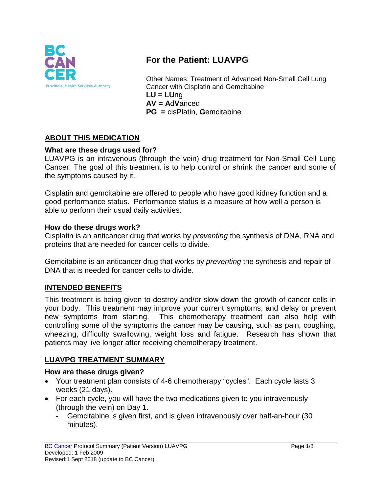

# **For the Patient: LUAVPG**

Other Names: Treatment of Advanced Non-Small Cell Lung Cancer with Cisplatin and Gemcitabine **LU = LU**ng **AV = A**d**V**anced **PG =** cis**P**latin, **G**emcitabine

## **ABOUT THIS MEDICATION**

#### **What are these drugs used for?**

LUAVPG is an intravenous (through the vein) drug treatment for Non-Small Cell Lung Cancer. The goal of this treatment is to help control or shrink the cancer and some of the symptoms caused by it.

Cisplatin and gemcitabine are offered to people who have good kidney function and a good performance status. Performance status is a measure of how well a person is able to perform their usual daily activities.

#### **How do these drugs work?**

Cisplatin is an anticancer drug that works by *preventing* the synthesis of DNA, RNA and proteins that are needed for cancer cells to divide.

Gemcitabine is an anticancer drug that works by *preventing* the synthesis and repair of DNA that is needed for cancer cells to divide.

#### **INTENDED BENEFITS**

This treatment is being given to destroy and/or slow down the growth of cancer cells in your body. This treatment may improve your current symptoms, and delay or prevent new symptoms from starting. This chemotherapy treatment can also help with controlling some of the symptoms the cancer may be causing, such as pain, coughing, wheezing, difficulty swallowing, weight loss and fatigue. Research has shown that patients may live longer after receiving chemotherapy treatment.

#### **LUAVPG TREATMENT SUMMARY**

#### **How are these drugs given?**

- Your treatment plan consists of 4-6 chemotherapy "cycles". Each cycle lasts 3 weeks (21 days).
- For each cycle, you will have the two medications given to you intravenously (through the vein) on Day 1.
	- **-** Gemcitabine is given first, and is given intravenously over half-an-hour (30 minutes).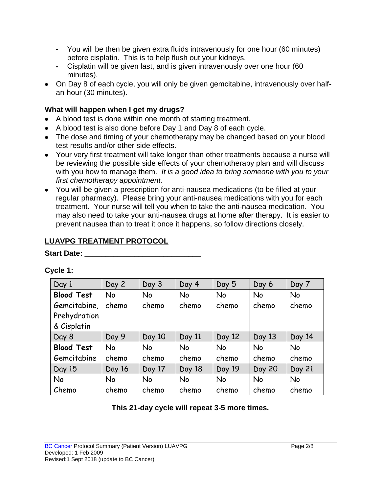- **-** You will be then be given extra fluids intravenously for one hour (60 minutes) before cisplatin. This is to help flush out your kidneys.
- **-** Cisplatin will be given last, and is given intravenously over one hour (60 minutes).
- On Day 8 of each cycle, you will only be given gemcitabine, intravenously over halfan-hour (30 minutes).

#### **What will happen when I get my drugs?**

- A blood test is done within one month of starting treatment.
- A blood test is also done before Day 1 and Day 8 of each cycle.
- The dose and timing of your chemotherapy may be changed based on your blood test results and/or other side effects.
- Your very first treatment will take longer than other treatments because a nurse will be reviewing the possible side effects of your chemotherapy plan and will discuss with you how to manage them. *It is a good idea to bring someone with you to your first chemotherapy appointment.*
- You will be given a prescription for anti-nausea medications (to be filled at your regular pharmacy). Please bring your anti-nausea medications with you for each treatment. Your nurse will tell you when to take the anti-nausea medication. You may also need to take your anti-nausea drugs at home after therapy. It is easier to prevent nausea than to treat it once it happens, so follow directions closely.

# **LUAVPG TREATMENT PROTOCOL**

#### **Start Date:**

| Day 1             | Day 2  | Day 3     | Day 4     | Day 5     | Day 6         | Day 7     |
|-------------------|--------|-----------|-----------|-----------|---------------|-----------|
| <b>Blood Test</b> | No     | No        | <b>No</b> | No        | <b>No</b>     | No        |
| Gemcitabine,      | chemo  | chemo     | chemo     | chemo     | chemo         | chemo     |
| Prehydration      |        |           |           |           |               |           |
| & Cisplatin       |        |           |           |           |               |           |
| Day 8             | Day 9  | Day 10    | Day 11    | Day 12    | Day 13        | Day 14    |
| <b>Blood Test</b> | No     | No        | <b>No</b> | <b>No</b> | <b>No</b>     | <b>No</b> |
| Gemcitabine       | chemo  | chemo     | chemo     | chemo     | chemo         | chemo     |
| Day 15            | Day 16 | Day 17    | Day 18    | Day 19    | <b>Day 20</b> | Day 21    |
| <b>No</b>         | No     | <b>No</b> | <b>No</b> | <b>No</b> | <b>No</b>     | No        |
| Chemo             | chemo  | chemo     | chemo     | chemo     | chemo         | chemo     |

#### **Cycle 1:**

**This 21-day cycle will repeat 3-5 more times.**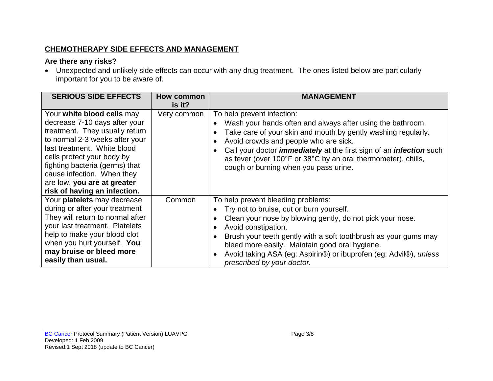## **CHEMOTHERAPY SIDE EFFECTS AND MANAGEMENT**

## **Are there any risks?**

• Unexpected and unlikely side effects can occur with any drug treatment. The ones listed below are particularly important for you to be aware of.

| <b>SERIOUS SIDE EFFECTS</b>                                                                                                                                                                                                                                                                                                 | How common<br>$is$ it? | <b>MANAGEMENT</b>                                                                                                                                                                                                                                                                                                                                                                                 |
|-----------------------------------------------------------------------------------------------------------------------------------------------------------------------------------------------------------------------------------------------------------------------------------------------------------------------------|------------------------|---------------------------------------------------------------------------------------------------------------------------------------------------------------------------------------------------------------------------------------------------------------------------------------------------------------------------------------------------------------------------------------------------|
| Your white blood cells may<br>decrease 7-10 days after your<br>treatment. They usually return<br>to normal 2-3 weeks after your<br>last treatment. White blood<br>cells protect your body by<br>fighting bacteria (germs) that<br>cause infection. When they<br>are low, you are at greater<br>risk of having an infection. | Very common            | To help prevent infection:<br>Wash your hands often and always after using the bathroom.<br>Take care of your skin and mouth by gently washing regularly.<br>Avoid crowds and people who are sick.<br>Call your doctor <i>immediately</i> at the first sign of an <i>infection</i> such<br>as fever (over 100°F or 38°C by an oral thermometer), chills,<br>cough or burning when you pass urine. |
| Your platelets may decrease<br>during or after your treatment<br>They will return to normal after<br>your last treatment. Platelets<br>help to make your blood clot<br>when you hurt yourself. You<br>may bruise or bleed more<br>easily than usual.                                                                        | Common                 | To help prevent bleeding problems:<br>Try not to bruise, cut or burn yourself.<br>Clean your nose by blowing gently, do not pick your nose.<br>Avoid constipation.<br>Brush your teeth gently with a soft toothbrush as your gums may<br>bleed more easily. Maintain good oral hygiene.<br>Avoid taking ASA (eg: Aspirin®) or ibuprofen (eg: Advil®), unless<br>prescribed by your doctor.        |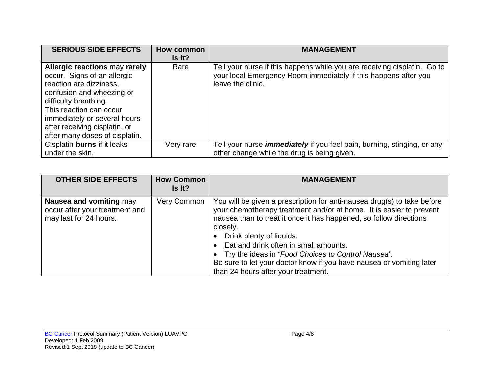| <b>SERIOUS SIDE EFFECTS</b>                                                                                                                                                                                                                                                 | <b>How common</b><br>is it? | <b>MANAGEMENT</b>                                                                                                                                                |
|-----------------------------------------------------------------------------------------------------------------------------------------------------------------------------------------------------------------------------------------------------------------------------|-----------------------------|------------------------------------------------------------------------------------------------------------------------------------------------------------------|
| Allergic reactions may rarely<br>occur. Signs of an allergic<br>reaction are dizziness,<br>confusion and wheezing or<br>difficulty breathing.<br>This reaction can occur<br>immediately or several hours<br>after receiving cisplatin, or<br>after many doses of cisplatin. | Rare                        | Tell your nurse if this happens while you are receiving cisplatin. Go to<br>your local Emergency Room immediately if this happens after you<br>leave the clinic. |
| Cisplatin burns if it leaks<br>under the skin.                                                                                                                                                                                                                              | Very rare                   | Tell your nurse <i>immediately</i> if you feel pain, burning, stinging, or any<br>other change while the drug is being given.                                    |

| <b>OTHER SIDE EFFECTS</b>                                                           | <b>How Common</b><br>Is It? | <b>MANAGEMENT</b>                                                                                                                                                                                                                                                                                                                                                                                                                                                                |
|-------------------------------------------------------------------------------------|-----------------------------|----------------------------------------------------------------------------------------------------------------------------------------------------------------------------------------------------------------------------------------------------------------------------------------------------------------------------------------------------------------------------------------------------------------------------------------------------------------------------------|
| Nausea and vomiting may<br>occur after your treatment and<br>may last for 24 hours. | Very Common                 | You will be given a prescription for anti-nausea drug(s) to take before<br>your chemotherapy treatment and/or at home. It is easier to prevent<br>nausea than to treat it once it has happened, so follow directions<br>closely.<br>• Drink plenty of liquids.<br>• Eat and drink often in small amounts.<br>• Try the ideas in "Food Choices to Control Nausea".<br>Be sure to let your doctor know if you have nausea or vomiting later<br>than 24 hours after your treatment. |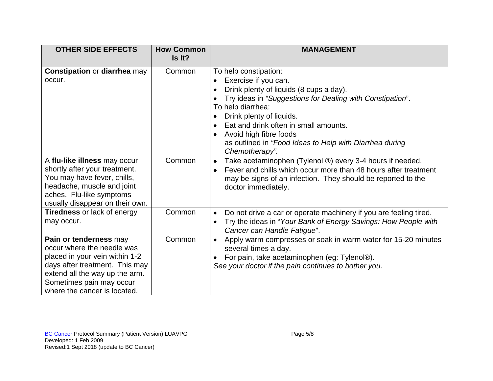| <b>OTHER SIDE EFFECTS</b>                                                                                                                                                                                              | <b>How Common</b><br>Is It? | <b>MANAGEMENT</b>                                                                                                                                                                                                                                                                                                                                                   |
|------------------------------------------------------------------------------------------------------------------------------------------------------------------------------------------------------------------------|-----------------------------|---------------------------------------------------------------------------------------------------------------------------------------------------------------------------------------------------------------------------------------------------------------------------------------------------------------------------------------------------------------------|
| <b>Constipation or diarrhea may</b><br>occur.                                                                                                                                                                          | Common                      | To help constipation:<br>Exercise if you can.<br>Drink plenty of liquids (8 cups a day).<br>Try ideas in "Suggestions for Dealing with Constipation".<br>To help diarrhea:<br>Drink plenty of liquids.<br>Eat and drink often in small amounts.<br>$\bullet$<br>Avoid high fibre foods<br>as outlined in "Food Ideas to Help with Diarrhea during<br>Chemotherapy". |
| A flu-like illness may occur<br>shortly after your treatment.<br>You may have fever, chills,<br>headache, muscle and joint<br>aches. Flu-like symptoms<br>usually disappear on their own.                              | Common                      | Take acetaminophen (Tylenol ®) every 3-4 hours if needed.<br>$\bullet$<br>Fever and chills which occur more than 48 hours after treatment<br>$\bullet$<br>may be signs of an infection. They should be reported to the<br>doctor immediately.                                                                                                                       |
| Tiredness or lack of energy<br>may occur.                                                                                                                                                                              | Common                      | Do not drive a car or operate machinery if you are feeling tired.<br>$\bullet$<br>Try the ideas in "Your Bank of Energy Savings: How People with<br>Cancer can Handle Fatigue".                                                                                                                                                                                     |
| Pain or tenderness may<br>occur where the needle was<br>placed in your vein within 1-2<br>days after treatment. This may<br>extend all the way up the arm.<br>Sometimes pain may occur<br>where the cancer is located. | Common                      | Apply warm compresses or soak in warm water for 15-20 minutes<br>$\bullet$<br>several times a day.<br>For pain, take acetaminophen (eg: Tylenol®).<br>See your doctor if the pain continues to bother you.                                                                                                                                                          |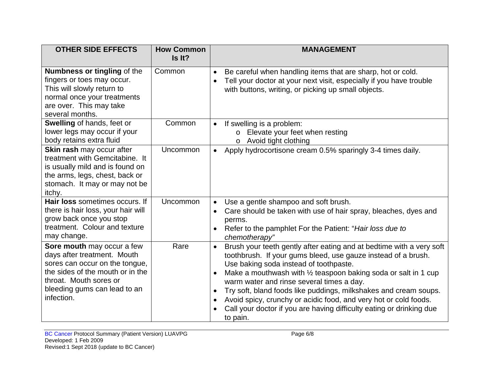| <b>OTHER SIDE EFFECTS</b>                                                                                                                                                                               | <b>How Common</b><br>Is It? | <b>MANAGEMENT</b>                                                                                                                                                                                                                                                                                                                                                                                                                                                                                                                                                               |
|---------------------------------------------------------------------------------------------------------------------------------------------------------------------------------------------------------|-----------------------------|---------------------------------------------------------------------------------------------------------------------------------------------------------------------------------------------------------------------------------------------------------------------------------------------------------------------------------------------------------------------------------------------------------------------------------------------------------------------------------------------------------------------------------------------------------------------------------|
| <b>Numbness or tingling of the</b><br>fingers or toes may occur.<br>This will slowly return to<br>normal once your treatments<br>are over. This may take<br>several months.                             | Common                      | Be careful when handling items that are sharp, hot or cold.<br>$\bullet$<br>Tell your doctor at your next visit, especially if you have trouble<br>with buttons, writing, or picking up small objects.                                                                                                                                                                                                                                                                                                                                                                          |
| Swelling of hands, feet or<br>lower legs may occur if your<br>body retains extra fluid                                                                                                                  | Common                      | If swelling is a problem:<br>$\bullet$<br>o Elevate your feet when resting<br>Avoid tight clothing<br>$\circ$                                                                                                                                                                                                                                                                                                                                                                                                                                                                   |
| Skin rash may occur after<br>treatment with Gemcitabine. It<br>is usually mild and is found on<br>the arms, legs, chest, back or<br>stomach. It may or may not be<br>itchy.                             | Uncommon                    | Apply hydrocortisone cream 0.5% sparingly 3-4 times daily.<br>$\bullet$                                                                                                                                                                                                                                                                                                                                                                                                                                                                                                         |
| Hair loss sometimes occurs. If<br>there is hair loss, your hair will<br>grow back once you stop<br>treatment. Colour and texture<br>may change.                                                         | Uncommon                    | Use a gentle shampoo and soft brush.<br>$\bullet$<br>Care should be taken with use of hair spray, bleaches, dyes and<br>perms.<br>Refer to the pamphlet For the Patient: "Hair loss due to<br>$\bullet$<br>chemotherapy"                                                                                                                                                                                                                                                                                                                                                        |
| Sore mouth may occur a few<br>days after treatment. Mouth<br>sores can occur on the tongue,<br>the sides of the mouth or in the<br>throat. Mouth sores or<br>bleeding gums can lead to an<br>infection. | Rare                        | Brush your teeth gently after eating and at bedtime with a very soft<br>$\bullet$<br>toothbrush. If your gums bleed, use gauze instead of a brush.<br>Use baking soda instead of toothpaste.<br>Make a mouthwash with 1/2 teaspoon baking soda or salt in 1 cup<br>$\bullet$<br>warm water and rinse several times a day.<br>Try soft, bland foods like puddings, milkshakes and cream soups.<br>$\bullet$<br>Avoid spicy, crunchy or acidic food, and very hot or cold foods.<br>$\bullet$<br>Call your doctor if you are having difficulty eating or drinking due<br>to pain. |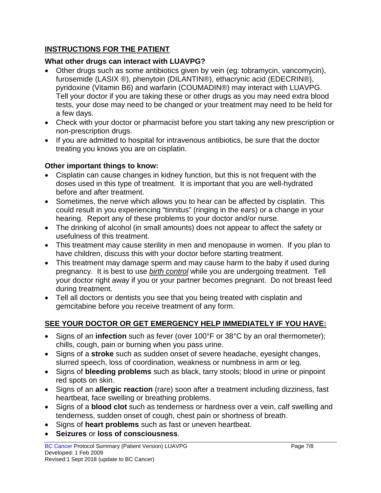## **INSTRUCTIONS FOR THE PATIENT**

#### **What other drugs can interact with LUAVPG?**

- Other drugs such as some antibiotics given by vein (eg: tobramycin, vancomycin), furosemide (LASIX ®), phenytoin (DILANTIN®), ethacrynic acid (EDECRIN®), pyridoxine (Vitamin B6) and warfarin (COUMADIN®) may interact with LUAVPG. Tell your doctor if you are taking these or other drugs as you may need extra blood tests, your dose may need to be changed or your treatment may need to be held for a few days.
- Check with your doctor or pharmacist before you start taking any new prescription or non-prescription drugs.
- If you are admitted to hospital for intravenous antibiotics, be sure that the doctor treating you knows you are on cisplatin.

## **Other important things to know:**

- Cisplatin can cause changes in kidney function, but this is not frequent with the doses used in this type of treatment. It is important that you are well-hydrated before and after treatment.
- Sometimes, the nerve which allows you to hear can be affected by cisplatin. This could result in you experiencing "tinnitus" (ringing in the ears) or a change in your hearing. Report any of these problems to your doctor and/or nurse.
- The drinking of alcohol (in small amounts) does not appear to affect the safety or usefulness of this treatment.
- This treatment may cause sterility in men and menopause in women. If you plan to have children, discuss this with your doctor before starting treatment.
- This treatment may damage sperm and may cause harm to the baby if used during pregnancy. It is best to use *birth control* while you are undergoing treatment. Tell your doctor right away if you or your partner becomes pregnant. Do not breast feed during treatment.
- Tell all doctors or dentists you see that you being treated with cisplatin and gemcitabine before you receive treatment of any form.

# **SEE YOUR DOCTOR OR GET EMERGENCY HELP IMMEDIATELY IF YOU HAVE:**

- Signs of an **infection** such as fever (over 100°F or 38°C by an oral thermometer); chills, cough, pain or burning when you pass urine.
- Signs of a **stroke** such as sudden onset of severe headache, eyesight changes, slurred speech, loss of coordination, weakness or numbness in arm or leg.
- Signs of **bleeding problems** such as black, tarry stools; blood in urine or pinpoint red spots on skin.
- Signs of an **allergic reaction** (rare) soon after a treatment including dizziness, fast heartbeat, face swelling or breathing problems.
- Signs of a **blood clot** such as tenderness or hardness over a vein, calf swelling and tenderness, sudden onset of cough, chest pain or shortness of breath.
- Signs of **heart problems** such as fast or uneven heartbeat.
- **Seizures** or **loss of consciousness**.